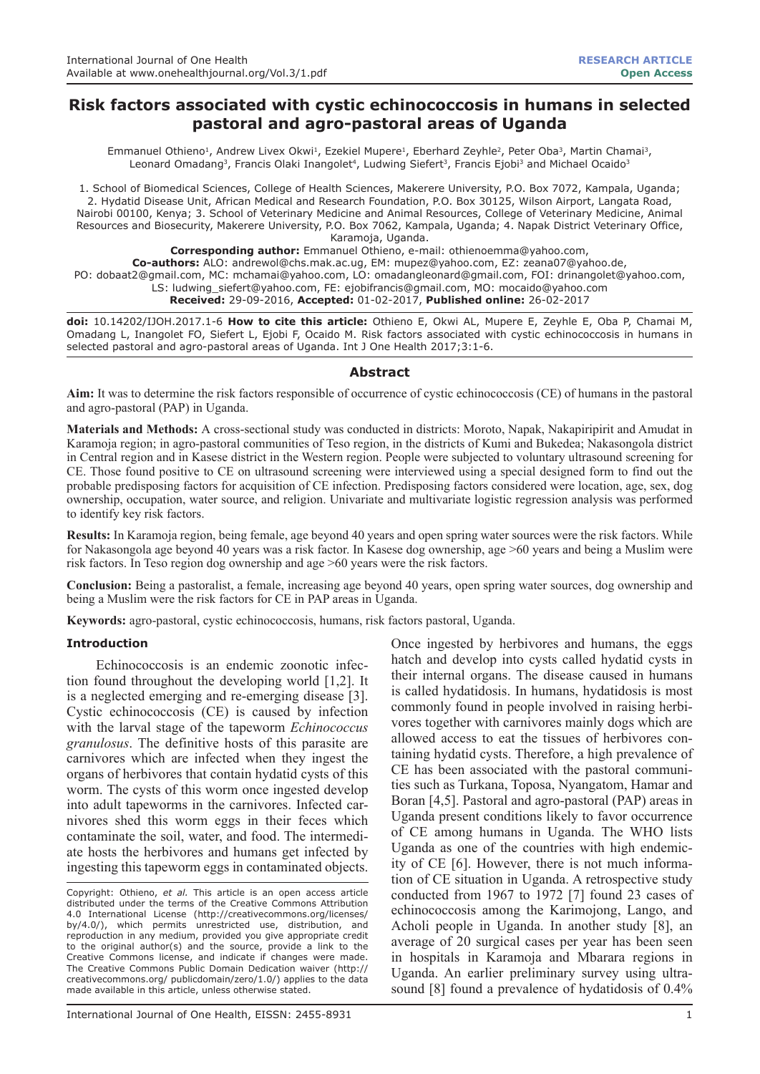# **Risk factors associated with cystic echinococcosis in humans in selected pastoral and agro-pastoral areas of Uganda**

Emmanuel Othieno<sup>1</sup>, Andrew Livex Okwi<sup>1</sup>, Ezekiel Mupere<sup>1</sup>, Eberhard Zeyhle<sup>2</sup>, Peter Oba<sup>3</sup>, Martin Chamai<sup>3</sup>, Leonard Omadang<sup>3</sup>, Francis Olaki Inangolet<sup>4</sup>, Ludwing Siefert<sup>3</sup>, Francis Ejobi<sup>3</sup> and Michael Ocaido<sup>3</sup>

1. School of Biomedical Sciences, College of Health Sciences, Makerere University, P.O. Box 7072, Kampala, Uganda; 2. Hydatid Disease Unit, African Medical and Research Foundation, P.O. Box 30125, Wilson Airport, Langata Road, Nairobi 00100, Kenya; 3. School of Veterinary Medicine and Animal Resources, College of Veterinary Medicine, Animal Resources and Biosecurity, Makerere University, P.O. Box 7062, Kampala, Uganda; 4. Napak District Veterinary Office, Karamoja, Uganda.

**Corresponding author:** Emmanuel Othieno, e-mail: othienoemma@yahoo.com,

**Co-authors:** ALO: andrewol@chs.mak.ac.ug, EM: mupez@yahoo.com, EZ: zeana07@yahoo.de,

PO: dobaat2@gmail.com, MC: mchamai@yahoo.com, LO: omadangleonard@gmail.com, FOI: drinangolet@yahoo.com, LS: ludwing\_siefert@yahoo.com, FE: ejobifrancis@gmail.com, MO: mocaido@yahoo.com **Received:** 29-09-2016, **Accepted:** 01-02-2017, **Published online:** 26-02-2017

**doi:** 10.14202/IJOH.2017.1-6 **How to cite this article:** Othieno E, Okwi AL, Mupere E, Zeyhle E, Oba P, Chamai M, Omadang L, Inangolet FO, Siefert L, Ejobi F, Ocaido M. Risk factors associated with cystic echinococcosis in humans in selected pastoral and agro-pastoral areas of Uganda. Int J One Health 2017;3:1-6.

### **Abstract**

**Aim:** It was to determine the risk factors responsible of occurrence of cystic echinococcosis (CE) of humans in the pastoral and agro-pastoral (PAP) in Uganda.

**Materials and Methods:** A cross-sectional study was conducted in districts: Moroto, Napak, Nakapiripirit and Amudat in Karamoja region; in agro-pastoral communities of Teso region, in the districts of Kumi and Bukedea; Nakasongola district in Central region and in Kasese district in the Western region. People were subjected to voluntary ultrasound screening for CE. Those found positive to CE on ultrasound screening were interviewed using a special designed form to find out the probable predisposing factors for acquisition of CE infection. Predisposing factors considered were location, age, sex, dog ownership, occupation, water source, and religion. Univariate and multivariate logistic regression analysis was performed to identify key risk factors.

**Results:** In Karamoja region, being female, age beyond 40 years and open spring water sources were the risk factors. While for Nakasongola age beyond 40 years was a risk factor. In Kasese dog ownership, age >60 years and being a Muslim were risk factors. In Teso region dog ownership and age >60 years were the risk factors.

**Conclusion:** Being a pastoralist, a female, increasing age beyond 40 years, open spring water sources, dog ownership and being a Muslim were the risk factors for CE in PAP areas in Uganda.

**Keywords:** agro-pastoral, cystic echinococcosis, humans, risk factors pastoral, Uganda.

### **Introduction**

Echinococcosis is an endemic zoonotic infection found throughout the developing world [1,2]. It is a neglected emerging and re-emerging disease [3]. Cystic echinococcosis (CE) is caused by infection with the larval stage of the tapeworm *Echinococcus granulosus*. The definitive hosts of this parasite are carnivores which are infected when they ingest the organs of herbivores that contain hydatid cysts of this worm. The cysts of this worm once ingested develop into adult tapeworms in the carnivores. Infected carnivores shed this worm eggs in their feces which contaminate the soil, water, and food. The intermediate hosts the herbivores and humans get infected by ingesting this tapeworm eggs in contaminated objects.

Copyright: Othieno, *et al.* This article is an open access article distributed under the terms of the Creative Commons Attribution 4.0 International License (http://creativecommons.org/licenses/ by/4.0/), which permits unrestricted use, distribution, and reproduction in any medium, provided you give appropriate credit to the original author(s) and the source, provide a link to the Creative Commons license, and indicate if changes were made. The Creative Commons Public Domain Dedication waiver (http:// creativecommons.org/ publicdomain/zero/1.0/) applies to the data made available in this article, unless otherwise stated.

International Journal of One Health, EISSN: 2455-8931 1

Once ingested by herbivores and humans, the eggs hatch and develop into cysts called hydatid cysts in their internal organs. The disease caused in humans is called hydatidosis. In humans, hydatidosis is most commonly found in people involved in raising herbivores together with carnivores mainly dogs which are allowed access to eat the tissues of herbivores containing hydatid cysts. Therefore, a high prevalence of CE has been associated with the pastoral communities such as Turkana, Toposa, Nyangatom, Hamar and Boran [4,5]. Pastoral and agro-pastoral (PAP) areas in Uganda present conditions likely to favor occurrence of CE among humans in Uganda. The WHO lists Uganda as one of the countries with high endemicity of CE [6]. However, there is not much information of CE situation in Uganda. A retrospective study conducted from 1967 to 1972 [7] found 23 cases of echinococcosis among the Karimojong, Lango, and Acholi people in Uganda. In another study [8], an average of 20 surgical cases per year has been seen in hospitals in Karamoja and Mbarara regions in Uganda. An earlier preliminary survey using ultrasound [8] found a prevalence of hydatidosis of 0.4%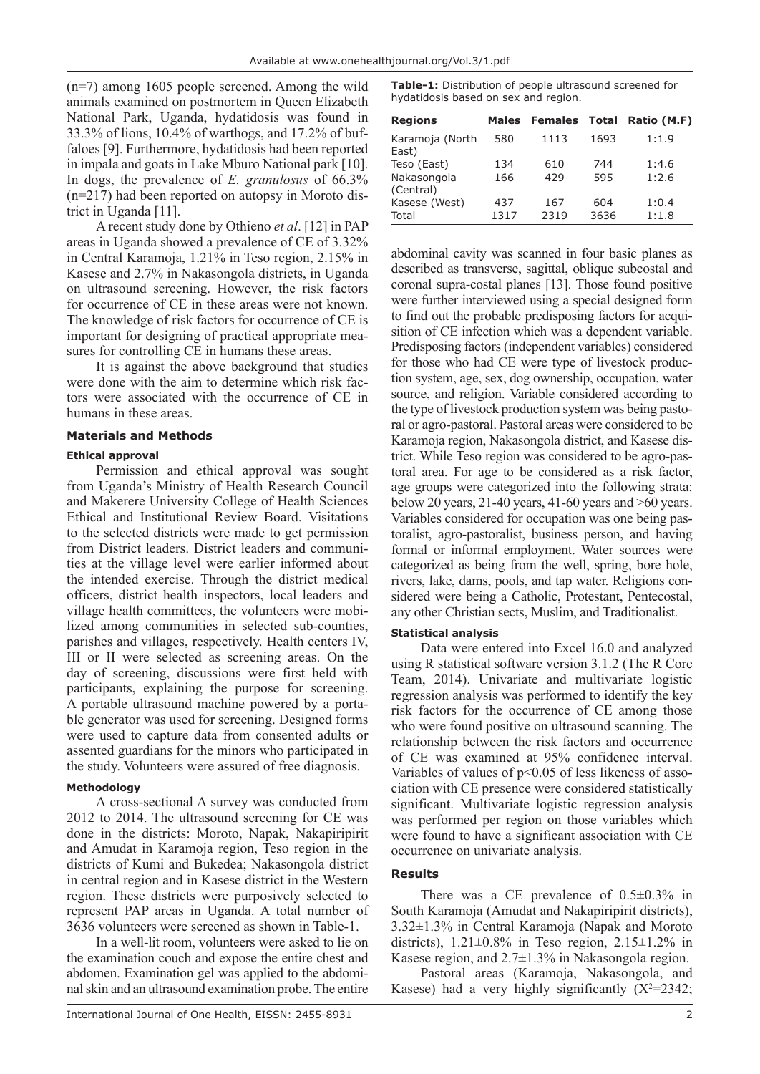(n=7) among 1605 people screened. Among the wild animals examined on postmortem in Queen Elizabeth National Park, Uganda, hydatidosis was found in 33.3% of lions, 10.4% of warthogs, and 17.2% of buffaloes [9]. Furthermore, hydatidosis had been reported in impala and goats in Lake Mburo National park [10]. In dogs, the prevalence of *E. granulosus* of 66.3% (n=217) had been reported on autopsy in Moroto district in Uganda [11].

A recent study done by Othieno *et al*. [12] in PAP areas in Uganda showed a prevalence of CE of 3.32% in Central Karamoja, 1.21% in Teso region, 2.15% in Kasese and 2.7% in Nakasongola districts, in Uganda on ultrasound screening. However, the risk factors for occurrence of CE in these areas were not known. The knowledge of risk factors for occurrence of CE is important for designing of practical appropriate measures for controlling CE in humans these areas.

It is against the above background that studies were done with the aim to determine which risk factors were associated with the occurrence of CE in humans in these areas.

## **Materials and Methods**

## **Ethical approval**

Permission and ethical approval was sought from Uganda's Ministry of Health Research Council and Makerere University College of Health Sciences Ethical and Institutional Review Board. Visitations to the selected districts were made to get permission from District leaders. District leaders and communities at the village level were earlier informed about the intended exercise. Through the district medical officers, district health inspectors, local leaders and village health committees, the volunteers were mobilized among communities in selected sub-counties, parishes and villages, respectively. Health centers IV, III or II were selected as screening areas. On the day of screening, discussions were first held with participants, explaining the purpose for screening. A portable ultrasound machine powered by a portable generator was used for screening. Designed forms were used to capture data from consented adults or assented guardians for the minors who participated in the study. Volunteers were assured of free diagnosis.

## **Methodology**

A cross-sectional A survey was conducted from 2012 to 2014. The ultrasound screening for CE was done in the districts: Moroto, Napak, Nakapiripirit and Amudat in Karamoja region, Teso region in the districts of Kumi and Bukedea; Nakasongola district in central region and in Kasese district in the Western region. These districts were purposively selected to represent PAP areas in Uganda. A total number of 3636 volunteers were screened as shown in Table-1.

In a well-lit room, volunteers were asked to lie on the examination couch and expose the entire chest and abdomen. Examination gel was applied to the abdominal skin and an ultrasound examination probe. The entire

**Table-1:** Distribution of people ultrasound screened for hydatidosis based on sex and region.

| <b>Regions</b>           | <b>Males</b> | <b>Females Total</b> |             | Ratio (M.F)    |
|--------------------------|--------------|----------------------|-------------|----------------|
| Karamoja (North<br>East) | 580          | 1113                 | 1693        | 1:1.9          |
| Teso (East)              | 134          | 610                  | 744         | 1:4.6          |
| Nakasongola<br>(Central) | 166          | 429                  | 595         | 1:2.6          |
| Kasese (West)<br>Total   | 437<br>1317  | 167<br>2319          | 604<br>3636 | 1:0.4<br>1:1.8 |

abdominal cavity was scanned in four basic planes as described as transverse, sagittal, oblique subcostal and coronal supra-costal planes [13]. Those found positive were further interviewed using a special designed form to find out the probable predisposing factors for acquisition of CE infection which was a dependent variable. Predisposing factors (independent variables) considered for those who had CE were type of livestock production system, age, sex, dog ownership, occupation, water source, and religion. Variable considered according to the type of livestock production system was being pastoral or agro-pastoral. Pastoral areas were considered to be Karamoja region, Nakasongola district, and Kasese district. While Teso region was considered to be agro-pastoral area. For age to be considered as a risk factor, age groups were categorized into the following strata: below 20 years, 21-40 years, 41-60 years and >60 years. Variables considered for occupation was one being pastoralist, agro-pastoralist, business person, and having formal or informal employment. Water sources were categorized as being from the well, spring, bore hole, rivers, lake, dams, pools, and tap water. Religions considered were being a Catholic, Protestant, Pentecostal, any other Christian sects, Muslim, and Traditionalist.

## **Statistical analysis**

Data were entered into Excel 16.0 and analyzed using R statistical software version 3.1.2 (The R Core Team, 2014). Univariate and multivariate logistic regression analysis was performed to identify the key risk factors for the occurrence of CE among those who were found positive on ultrasound scanning. The relationship between the risk factors and occurrence of CE was examined at 95% confidence interval. Variables of values of  $p<0.05$  of less likeness of association with CE presence were considered statistically significant. Multivariate logistic regression analysis was performed per region on those variables which were found to have a significant association with CE occurrence on univariate analysis.

## **Results**

There was a CE prevalence of  $0.5 \pm 0.3\%$  in South Karamoja (Amudat and Nakapiripirit districts), 3.32±1.3% in Central Karamoja (Napak and Moroto districts),  $1.21 \pm 0.8\%$  in Teso region,  $2.15 \pm 1.2\%$  in Kasese region, and 2.7±1.3% in Nakasongola region.

Pastoral areas (Karamoja, Nakasongola, and Kasese) had a very highly significantly  $(X^2=2342)$ ;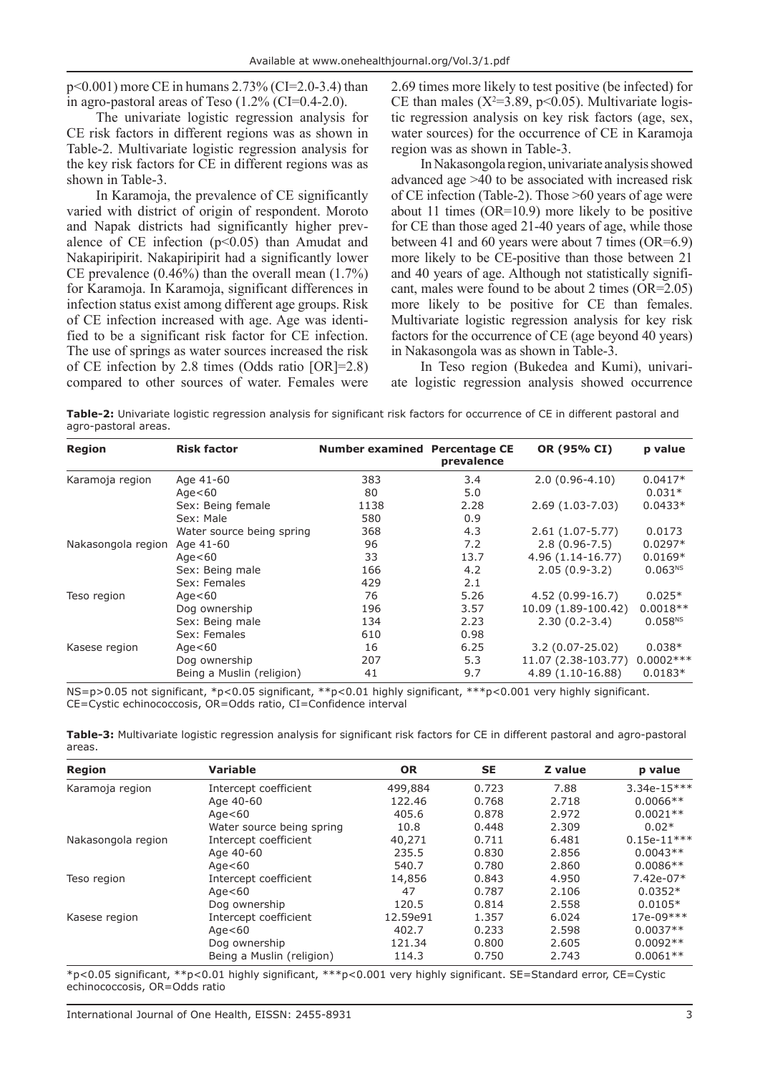p<0.001) more CE in humans 2.73% (CI=2.0-3.4) than in agro-pastoral areas of Teso  $(1.2\%$  (CI=0.4-2.0).

The univariate logistic regression analysis for CE risk factors in different regions was as shown in Table-2. Multivariate logistic regression analysis for the key risk factors for CE in different regions was as shown in Table-3.

In Karamoja, the prevalence of CE significantly varied with district of origin of respondent. Moroto and Napak districts had significantly higher prevalence of CE infection  $(p<0.05)$  than Amudat and Nakapiripirit. Nakapiripirit had a significantly lower CE prevalence  $(0.46\%)$  than the overall mean  $(1.7\%)$ for Karamoja. In Karamoja, significant differences in infection status exist among different age groups. Risk of CE infection increased with age. Age was identified to be a significant risk factor for CE infection. The use of springs as water sources increased the risk of CE infection by 2.8 times (Odds ratio [OR]=2.8) compared to other sources of water. Females were 2.69 times more likely to test positive (be infected) for CE than males ( $X^2=3.89$ , p<0.05). Multivariate logistic regression analysis on key risk factors (age, sex, water sources) for the occurrence of CE in Karamoja region was as shown in Table-3.

In Nakasongola region, univariate analysis showed advanced age >40 to be associated with increased risk of CE infection (Table-2). Those >60 years of age were about 11 times (OR=10.9) more likely to be positive for CE than those aged 21-40 years of age, while those between 41 and 60 years were about 7 times (OR=6.9) more likely to be CE-positive than those between 21 and 40 years of age. Although not statistically significant, males were found to be about 2 times (OR=2.05) more likely to be positive for CE than females. Multivariate logistic regression analysis for key risk factors for the occurrence of CE (age beyond 40 years) in Nakasongola was as shown in Table-3.

In Teso region (Bukedea and Kumi), univariate logistic regression analysis showed occurrence

**Table-2:** Univariate logistic regression analysis for significant risk factors for occurrence of CE in different pastoral and agro-pastoral areas.

| <b>Region</b>      | <b>Risk factor</b>        | <b>Number examined Percentage CE</b> | prevalence | OR (95% CI)         | p value             |
|--------------------|---------------------------|--------------------------------------|------------|---------------------|---------------------|
| Karamoja region    | Age 41-60                 | 383                                  | 3.4        | $2.0(0.96-4.10)$    | $0.0417*$           |
|                    | Age $<$ 60                | 80                                   | 5.0        |                     | $0.031*$            |
|                    | Sex: Being female         | 1138                                 | 2.28       | $2.69(1.03-7.03)$   | $0.0433*$           |
|                    | Sex: Male                 | 580                                  | 0.9        |                     |                     |
|                    | Water source being spring | 368                                  | 4.3        | $2.61(1.07-5.77)$   | 0.0173              |
| Nakasongola region | Age 41-60                 | 96                                   | 7.2        | $2.8(0.96-7.5)$     | $0.0297*$           |
|                    | Age $<$ 60                | 33                                   | 13.7       | 4.96 (1.14-16.77)   | $0.0169*$           |
|                    | Sex: Being male           | 166                                  | 4.2        | $2.05(0.9-3.2)$     | 0.063 <sup>NS</sup> |
|                    | Sex: Females              | 429                                  | 2.1        |                     |                     |
| Teso region        | Age $<$ 60                | 76                                   | 5.26       | $4.52(0.99-16.7)$   | $0.025*$            |
|                    | Dog ownership             | 196                                  | 3.57       | 10.09 (1.89-100.42) | $0.0018**$          |
|                    | Sex: Being male           | 134                                  | 2.23       | $2.30(0.2-3.4)$     | 0.058 <sup>NS</sup> |
|                    | Sex: Females              | 610                                  | 0.98       |                     |                     |
| Kasese region      | Age $<$ 60                | 16                                   | 6.25       | $3.2(0.07-25.02)$   | $0.038*$            |
|                    | Dog ownership             | 207                                  | 5.3        | 11.07 (2.38-103.77) | $0.0002***$         |
|                    | Being a Muslin (religion) | 41                                   | 9.7        | 4.89 (1.10-16.88)   | $0.0183*$           |

NS=p>0.05 not significant, \*p<0.05 significant, \*\*p<0.01 highly significant, \*\*\*p<0.001 very highly significant. CE=Cystic echinococcosis, OR=Odds ratio, CI=Confidence interval

**Table-3:** Multivariate logistic regression analysis for significant risk factors for CE in different pastoral and agro-pastoral areas.

| <b>Region</b>      | <b>Variable</b>           | <b>OR</b> | <b>SE</b> | Z value | p value       |
|--------------------|---------------------------|-----------|-----------|---------|---------------|
| Karamoja region    | Intercept coefficient     | 499,884   | 0.723     | 7.88    | $3.34e-15***$ |
|                    | Age 40-60                 | 122.46    | 0.768     | 2.718   | $0.0066**$    |
|                    | Age $<$ 60                | 405.6     | 0.878     | 2.972   | $0.0021**$    |
|                    | Water source being spring | 10.8      | 0.448     | 2.309   | $0.02*$       |
| Nakasongola region | Intercept coefficient     | 40,271    | 0.711     | 6.481   | $0.15e-11***$ |
|                    | Age 40-60                 | 235.5     | 0.830     | 2.856   | $0.0043**$    |
|                    | Age $<$ 60                | 540.7     | 0.780     | 2.860   | $0.0086**$    |
| Teso region        | Intercept coefficient     | 14,856    | 0.843     | 4.950   | $7.42e-07*$   |
|                    | Age $<$ 60                | 47        | 0.787     | 2.106   | $0.0352*$     |
|                    | Dog ownership             | 120.5     | 0.814     | 2.558   | $0.0105*$     |
| Kasese region      | Intercept coefficient     | 12.59e91  | 1.357     | 6.024   | $17e-09***$   |
|                    | Age $<$ 60                | 402.7     | 0.233     | 2.598   | $0.0037**$    |
|                    | Dog ownership             | 121.34    | 0.800     | 2.605   | $0.0092**$    |
|                    | Being a Muslin (religion) | 114.3     | 0.750     | 2.743   | $0.0061**$    |

\*p<0.05 significant, \*\*p<0.01 highly significant, \*\*\*p<0.001 very highly significant. SE=Standard error, CE=Cystic echinococcosis, OR=Odds ratio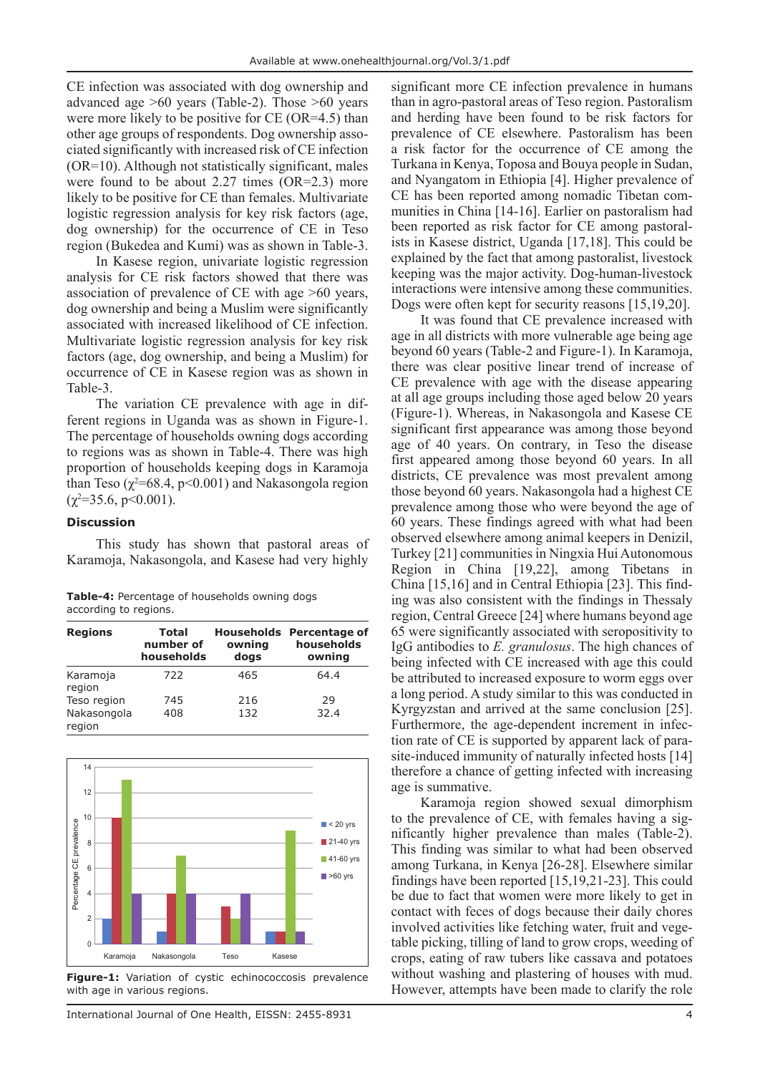CE infection was associated with dog ownership and advanced age >60 years (Table-2). Those >60 years were more likely to be positive for CE (OR=4.5) than other age groups of respondents. Dog ownership associated significantly with increased risk of CE infection (OR=10). Although not statistically significant, males were found to be about 2.27 times (OR=2.3) more likely to be positive for CE than females. Multivariate logistic regression analysis for key risk factors (age, dog ownership) for the occurrence of CE in Teso region (Bukedea and Kumi) was as shown in Table-3.

In Kasese region, univariate logistic regression analysis for CE risk factors showed that there was association of prevalence of CE with age >60 years, dog ownership and being a Muslim were significantly associated with increased likelihood of CE infection. Multivariate logistic regression analysis for key risk factors (age, dog ownership, and being a Muslim) for occurrence of CE in Kasese region was as shown in Table-3.

The variation CE prevalence with age in different regions in Uganda was as shown in Figure-1. The percentage of households owning dogs according to regions was as shown in Table-4. There was high proportion of households keeping dogs in Karamoja than Teso  $(\chi^2=68.4, p<0.001)$  and Nakasongola region  $(\chi^2 = 35.6, \, p \leq 0.001).$ 

## **Discussion**

This study has shown that pastoral areas of Karamoja, Nakasongola, and Kasese had very highly

|                       | <b>Table-4:</b> Percentage of households owning dogs |  |
|-----------------------|------------------------------------------------------|--|
| according to regions. |                                                      |  |

| <b>Regions</b>        | <b>Total</b><br>number of<br>households | owning<br>dogs | <b>Households</b> Percentage of<br>households<br>owning |
|-----------------------|-----------------------------------------|----------------|---------------------------------------------------------|
| Karamoja<br>region    | 722                                     | 465            | 64.4                                                    |
| Teso region           | 745                                     | 216            | 29                                                      |
| Nakasongola<br>region | 408                                     | 132            | 32.4                                                    |



**Figure-1:** Variation of cystic echinococcosis prevalence with age in various regions.

significant more CE infection prevalence in humans than in agro-pastoral areas of Teso region. Pastoralism and herding have been found to be risk factors for prevalence of CE elsewhere. Pastoralism has been a risk factor for the occurrence of CE among the Turkana in Kenya, Toposa and Bouya people in Sudan, and Nyangatom in Ethiopia [4]. Higher prevalence of CE has been reported among nomadic Tibetan communities in China [14-16]. Earlier on pastoralism had been reported as risk factor for CE among pastoralists in Kasese district, Uganda [17,18]. This could be explained by the fact that among pastoralist, livestock keeping was the major activity. Dog-human-livestock interactions were intensive among these communities. Dogs were often kept for security reasons [15,19,20].

It was found that CE prevalence increased with age in all districts with more vulnerable age being age beyond 60 years (Table-2 and Figure-1). In Karamoja, there was clear positive linear trend of increase of CE prevalence with age with the disease appearing at all age groups including those aged below 20 years (Figure-1). Whereas, in Nakasongola and Kasese CE significant first appearance was among those beyond age of 40 years. On contrary, in Teso the disease first appeared among those beyond 60 years. In all districts, CE prevalence was most prevalent among those beyond 60 years. Nakasongola had a highest CE prevalence among those who were beyond the age of 60 years. These findings agreed with what had been observed elsewhere among animal keepers in Denizil, Turkey [21] communities in Ningxia Hui Autonomous Region in China [19,22], among Tibetans in China [15,16] and in Central Ethiopia [23]. This finding was also consistent with the findings in Thessaly region, Central Greece [24] where humans beyond age 65 were significantly associated with seropositivity to IgG antibodies to *E. granulosus*. The high chances of being infected with CE increased with age this could be attributed to increased exposure to worm eggs over a long period. A study similar to this was conducted in Kyrgyzstan and arrived at the same conclusion [25]. Furthermore, the age-dependent increment in infection rate of CE is supported by apparent lack of parasite-induced immunity of naturally infected hosts [14] therefore a chance of getting infected with increasing age is summative.

Karamoja region showed sexual dimorphism to the prevalence of CE, with females having a significantly higher prevalence than males (Table-2). This finding was similar to what had been observed among Turkana, in Kenya [26-28]. Elsewhere similar findings have been reported [15,19,21-23]. This could be due to fact that women were more likely to get in contact with feces of dogs because their daily chores involved activities like fetching water, fruit and vegetable picking, tilling of land to grow crops, weeding of crops, eating of raw tubers like cassava and potatoes without washing and plastering of houses with mud. However, attempts have been made to clarify the role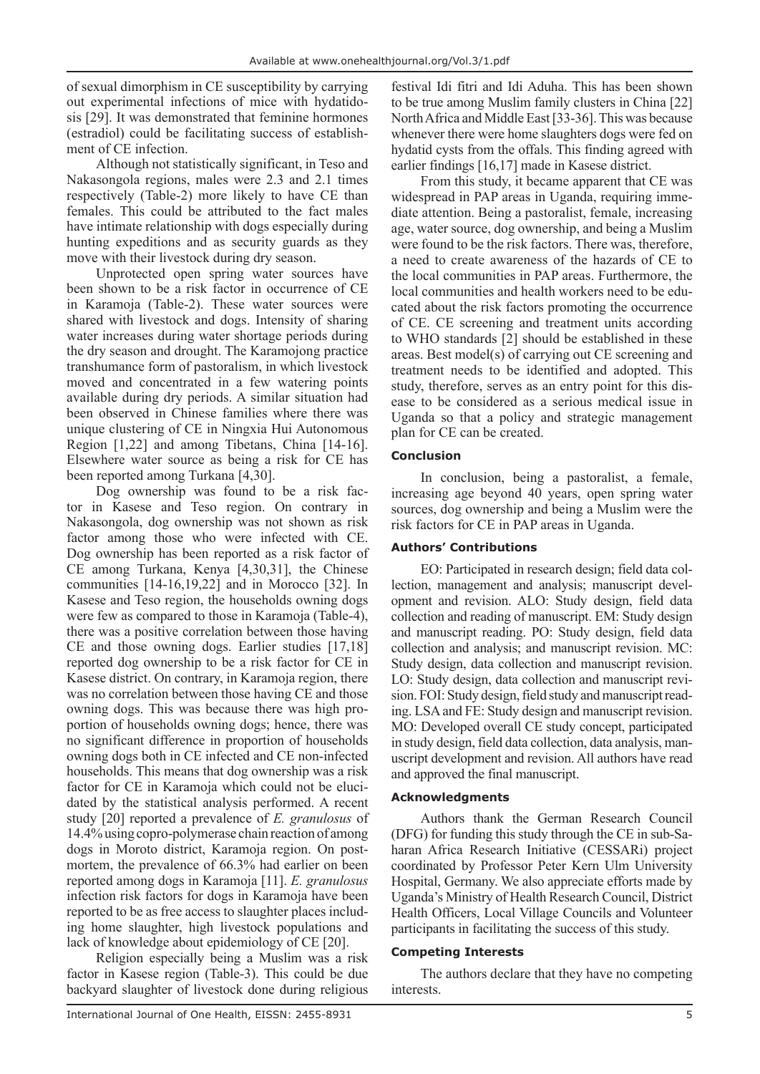of sexual dimorphism in CE susceptibility by carrying out experimental infections of mice with hydatidosis [29]. It was demonstrated that feminine hormones (estradiol) could be facilitating success of establishment of CE infection.

Although not statistically significant, in Teso and Nakasongola regions, males were 2.3 and 2.1 times respectively (Table-2) more likely to have CE than females. This could be attributed to the fact males have intimate relationship with dogs especially during hunting expeditions and as security guards as they move with their livestock during dry season.

Unprotected open spring water sources have been shown to be a risk factor in occurrence of CE in Karamoja (Table-2). These water sources were shared with livestock and dogs. Intensity of sharing water increases during water shortage periods during the dry season and drought. The Karamojong practice transhumance form of pastoralism, in which livestock moved and concentrated in a few watering points available during dry periods. A similar situation had been observed in Chinese families where there was unique clustering of CE in Ningxia Hui Autonomous Region [1,22] and among Tibetans, China [14-16]. Elsewhere water source as being a risk for CE has been reported among Turkana [4,30].

Dog ownership was found to be a risk factor in Kasese and Teso region. On contrary in Nakasongola, dog ownership was not shown as risk factor among those who were infected with CE. Dog ownership has been reported as a risk factor of CE among Turkana, Kenya [4,30,31], the Chinese communities [14-16,19,22] and in Morocco [32]. In Kasese and Teso region, the households owning dogs were few as compared to those in Karamoja (Table-4), there was a positive correlation between those having CE and those owning dogs. Earlier studies [17,18] reported dog ownership to be a risk factor for CE in Kasese district. On contrary, in Karamoja region, there was no correlation between those having CE and those owning dogs. This was because there was high proportion of households owning dogs; hence, there was no significant difference in proportion of households owning dogs both in CE infected and CE non-infected households. This means that dog ownership was a risk factor for CE in Karamoja which could not be elucidated by the statistical analysis performed. A recent study [20] reported a prevalence of *E. granulosus* of 14.4% using copro-polymerase chain reaction of among dogs in Moroto district, Karamoja region. On postmortem, the prevalence of 66.3% had earlier on been reported among dogs in Karamoja [11]. *E. granulosus* infection risk factors for dogs in Karamoja have been reported to be as free access to slaughter places including home slaughter, high livestock populations and lack of knowledge about epidemiology of CE [20].

Religion especially being a Muslim was a risk factor in Kasese region (Table-3). This could be due backyard slaughter of livestock done during religious

festival Idi fitri and Idi Aduha. This has been shown to be true among Muslim family clusters in China [22] North Africa and Middle East [33-36]. This was because whenever there were home slaughters dogs were fed on hydatid cysts from the offals. This finding agreed with earlier findings [16,17] made in Kasese district.

From this study, it became apparent that CE was widespread in PAP areas in Uganda, requiring immediate attention. Being a pastoralist, female, increasing age, water source, dog ownership, and being a Muslim were found to be the risk factors. There was, therefore, a need to create awareness of the hazards of CE to the local communities in PAP areas. Furthermore, the local communities and health workers need to be educated about the risk factors promoting the occurrence of CE. CE screening and treatment units according to WHO standards [2] should be established in these areas. Best model(s) of carrying out CE screening and treatment needs to be identified and adopted. This study, therefore, serves as an entry point for this disease to be considered as a serious medical issue in Uganda so that a policy and strategic management plan for CE can be created.

### **Conclusion**

In conclusion, being a pastoralist, a female, increasing age beyond 40 years, open spring water sources, dog ownership and being a Muslim were the risk factors for CE in PAP areas in Uganda.

## **Authors' Contributions**

EO: Participated in research design; field data collection, management and analysis; manuscript development and revision. ALO: Study design, field data collection and reading of manuscript. EM: Study design and manuscript reading. PO: Study design, field data collection and analysis; and manuscript revision. MC: Study design, data collection and manuscript revision. LO: Study design, data collection and manuscript revision. FOI: Study design, field study and manuscript reading. LSA and FE: Study design and manuscript revision. MO: Developed overall CE study concept, participated in study design, field data collection, data analysis, manuscript development and revision. All authors have read and approved the final manuscript.

### **Acknowledgments**

Authors thank the German Research Council (DFG) for funding this study through the CE in sub-Saharan Africa Research Initiative (CESSARi) project coordinated by Professor Peter Kern Ulm University Hospital, Germany. We also appreciate efforts made by Uganda's Ministry of Health Research Council, District Health Officers, Local Village Councils and Volunteer participants in facilitating the success of this study.

### **Competing Interests**

The authors declare that they have no competing interests.